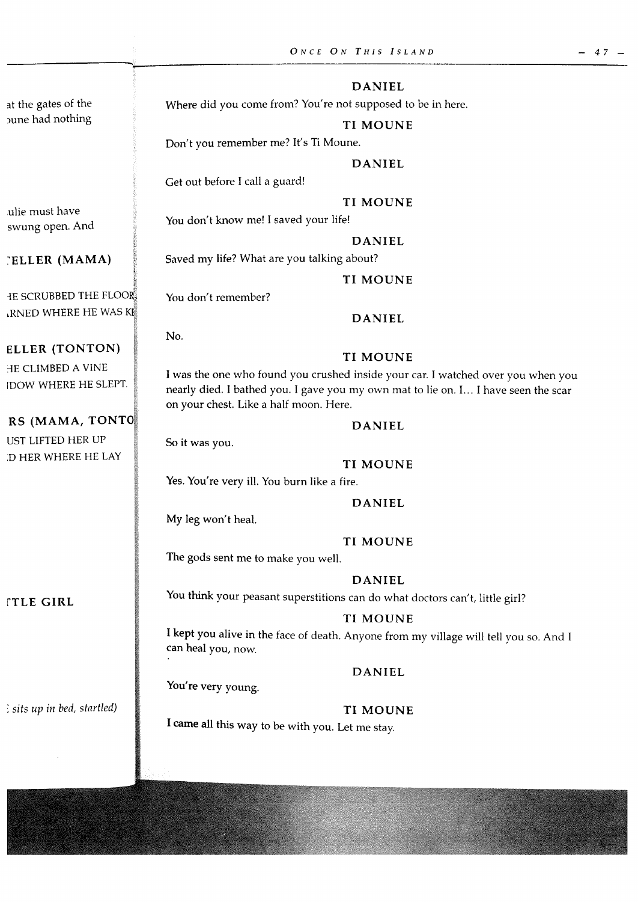at the gates of the bune had nothing

ulie must have swung open. And

'ELLER (MAMA)

**HE SCRUBBED THE FLOOR** RNED WHERE HE WAS Ki

# ELLER (TONTON)

HE CLIMBED A VINE [DOW WHERE HE SLEPT.

RS (MAMA, TONTO UST LIFTED HER UP D HER WHERE HE LAY

ETLE GIRL

sits up in bed, startled)

## DANIEL

Where did you come from? You're not supposed to be in here.

# TI MOUNE

Don't you remember me? It's Ti Moune.

# DANIEL

Get out before <sup>I</sup> call a guard!

You don't remember?

No.

# TI MOUNE

You don't know me! I saved your life!

DANIEL

Saved my life2 What are you talking about7

TI MOUNE

# DANIEL

# TI MOUNE

<sup>I</sup> was the one who found you crushed inside your car. <sup>I</sup> watched over you when you nearly died. <sup>I</sup> bathed you. <sup>I</sup> gave you my own mat to lie on. I... <sup>I</sup> have seen the scar on your chest. Like a half moon. Here.

# DANIEL

## TI MOUNE

Yes. You're very ill. You burn like a fire.

DANIEL My leg won't heal.

You're very young.

So it was you.

# **TI MOUNE**

The gods sent me to make you well.

# DANIEL

You think your peasant superstitions can do what doctors can't, little girl?

# TI MOUNE

<sup>I</sup> kept you alive in the face of death. Anyone from my village will tell you so. And <sup>I</sup> can heal you, now.

# DANIEL

TI MOUNE

<sup>I</sup> came all this way to be with you. Let me stay.